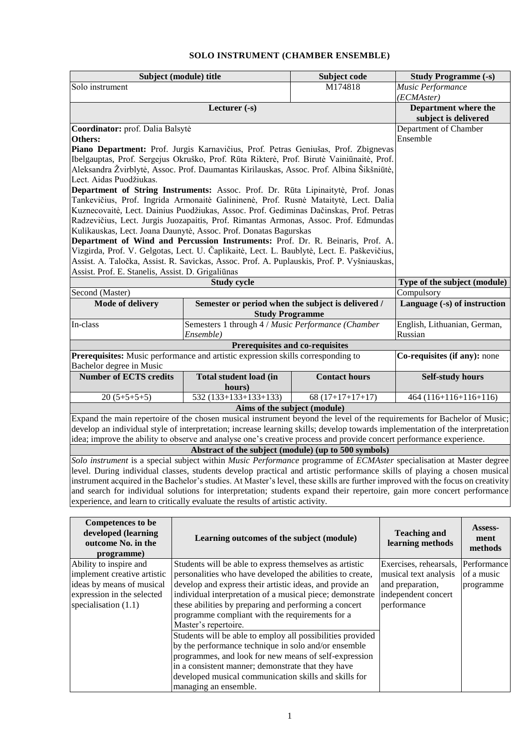## **SOLO INSTRUMENT (CHAMBER ENSEMBLE)**

|                                                                                                                                  | Subject (module) title                                                                                                                                                                   | Subject code                                                                       | <b>Study Programme (-s)</b>  |                              |  |  |  |  |
|----------------------------------------------------------------------------------------------------------------------------------|------------------------------------------------------------------------------------------------------------------------------------------------------------------------------------------|------------------------------------------------------------------------------------|------------------------------|------------------------------|--|--|--|--|
| Solo instrument                                                                                                                  |                                                                                                                                                                                          | M174818                                                                            | Music Performance            |                              |  |  |  |  |
|                                                                                                                                  |                                                                                                                                                                                          | (ECMAster)                                                                         |                              |                              |  |  |  |  |
|                                                                                                                                  |                                                                                                                                                                                          | Department where the                                                               |                              |                              |  |  |  |  |
|                                                                                                                                  | subject is delivered                                                                                                                                                                     |                                                                                    |                              |                              |  |  |  |  |
| Coordinator: prof. Dalia Balsytė                                                                                                 | Department of Chamber<br>Ensemble                                                                                                                                                        |                                                                                    |                              |                              |  |  |  |  |
| Others:                                                                                                                          | Piano Department: Prof. Jurgis Karnavičius, Prof. Petras Geniušas, Prof. Zbignevas                                                                                                       |                                                                                    |                              |                              |  |  |  |  |
|                                                                                                                                  | Ibelgauptas, Prof. Sergejus Okruško, Prof. Rūta Rikterė, Prof. Birutė Vainiūnaitė, Prof.                                                                                                 |                                                                                    |                              |                              |  |  |  |  |
|                                                                                                                                  | Aleksandra Žvirblytė, Assoc. Prof. Daumantas Kirilauskas, Assoc. Prof. Albina Šikšniūtė,                                                                                                 |                                                                                    |                              |                              |  |  |  |  |
| Lect. Aidas Puodžiukas.                                                                                                          |                                                                                                                                                                                          |                                                                                    |                              |                              |  |  |  |  |
| Department of String Instruments: Assoc. Prof. Dr. Rūta Lipinaitytė, Prof. Jonas                                                 |                                                                                                                                                                                          |                                                                                    |                              |                              |  |  |  |  |
|                                                                                                                                  | Tankevičius, Prof. Ingrida Armonaitė Galininenė, Prof. Rusnė Mataitytė, Lect. Dalia                                                                                                      |                                                                                    |                              |                              |  |  |  |  |
|                                                                                                                                  | Kuznecovaitė, Lect. Dainius Puodžiukas, Assoc. Prof. Gediminas Dačinskas, Prof. Petras                                                                                                   |                                                                                    |                              |                              |  |  |  |  |
|                                                                                                                                  | Radzevičius, Lect. Jurgis Juozapaitis, Prof. Rimantas Armonas, Assoc. Prof. Edmundas                                                                                                     |                                                                                    |                              |                              |  |  |  |  |
|                                                                                                                                  | Kulikauskas, Lect. Joana Daunytė, Assoc. Prof. Donatas Bagurskas                                                                                                                         |                                                                                    |                              |                              |  |  |  |  |
|                                                                                                                                  | Department of Wind and Percussion Instruments: Prof. Dr. R. Beinaris, Prof. A.                                                                                                           |                                                                                    |                              |                              |  |  |  |  |
|                                                                                                                                  | Vizgirda, Prof. V. Gelgotas, Lect. U. Čaplikaitė, Lect. L. Baublytė, Lect. E. Paškevičius,<br>Assist. A. Taločka, Assist. R. Savickas, Assoc. Prof. A. Puplauskis, Prof. P. Vyšniauskas, |                                                                                    |                              |                              |  |  |  |  |
| Assist. Prof. E. Stanelis, Assist. D. Grigaliūnas                                                                                |                                                                                                                                                                                          |                                                                                    |                              |                              |  |  |  |  |
|                                                                                                                                  | <b>Study cycle</b>                                                                                                                                                                       |                                                                                    |                              | Type of the subject (module) |  |  |  |  |
| Second (Master)                                                                                                                  |                                                                                                                                                                                          |                                                                                    |                              | Compulsory                   |  |  |  |  |
| <b>Mode of delivery</b>                                                                                                          | Semester or period when the subject is delivered /                                                                                                                                       |                                                                                    |                              |                              |  |  |  |  |
|                                                                                                                                  |                                                                                                                                                                                          | <b>Study Programme</b>                                                             |                              |                              |  |  |  |  |
| In-class                                                                                                                         |                                                                                                                                                                                          | Semesters 1 through 4 / Music Performance (Chamber<br>English, Lithuanian, German, |                              |                              |  |  |  |  |
|                                                                                                                                  | Ensemble)                                                                                                                                                                                |                                                                                    | Russian                      |                              |  |  |  |  |
|                                                                                                                                  |                                                                                                                                                                                          | Prerequisites and co-requisites                                                    |                              |                              |  |  |  |  |
|                                                                                                                                  | Prerequisites: Music performance and artistic expression skills corresponding to                                                                                                         |                                                                                    | Co-requisites (if any): none |                              |  |  |  |  |
| Bachelor degree in Music                                                                                                         | <b>Total student load (in</b>                                                                                                                                                            | <b>Contact hours</b>                                                               |                              |                              |  |  |  |  |
| <b>Number of ECTS credits</b>                                                                                                    | <b>Self-study hours</b>                                                                                                                                                                  |                                                                                    |                              |                              |  |  |  |  |
| $20(5+5+5+5)$                                                                                                                    | hours)<br>$\overline{532(133+133+133+133)}$                                                                                                                                              | $68(17+17+17+17)$                                                                  |                              | $464(116+116+116+116)$       |  |  |  |  |
|                                                                                                                                  |                                                                                                                                                                                          |                                                                                    |                              |                              |  |  |  |  |
|                                                                                                                                  | Expand the main repertoire of the chosen musical instrument beyond the level of the requirements for Bachelor of Music;                                                                  | Aims of the subject (module)                                                       |                              |                              |  |  |  |  |
|                                                                                                                                  | develop an individual style of interpretation; increase learning skills; develop towards implementation of the interpretation                                                            |                                                                                    |                              |                              |  |  |  |  |
| idea; improve the ability to observe and analyse one's creative process and provide concert performance experience.              |                                                                                                                                                                                          |                                                                                    |                              |                              |  |  |  |  |
| Abstract of the subject (module) (up to 500 symbols)                                                                             |                                                                                                                                                                                          |                                                                                    |                              |                              |  |  |  |  |
|                                                                                                                                  | Solo instrument is a special subject within Music Performance programme of ECMAster specialisation at Master degree                                                                      |                                                                                    |                              |                              |  |  |  |  |
| level. During individual classes, students develop practical and artistic performance skills of playing a chosen musical         |                                                                                                                                                                                          |                                                                                    |                              |                              |  |  |  |  |
| instrument acquired in the Bachelor's studies. At Master's level, these skills are further improved with the focus on creativity |                                                                                                                                                                                          |                                                                                    |                              |                              |  |  |  |  |
| and search for individual solutions for interpretation; students expand their repertoire, gain more concert performance          |                                                                                                                                                                                          |                                                                                    |                              |                              |  |  |  |  |
| experience, and learn to critically evaluate the results of artistic activity.                                                   |                                                                                                                                                                                          |                                                                                    |                              |                              |  |  |  |  |
|                                                                                                                                  |                                                                                                                                                                                          |                                                                                    |                              |                              |  |  |  |  |
| <b>Competences</b> to be<br>developed (learning                                                                                  |                                                                                                                                                                                          |                                                                                    | <b>Teaching and</b>          | Assess-                      |  |  |  |  |
| outcome No. in the                                                                                                               | Learning outcomes of the subject (module)                                                                                                                                                |                                                                                    |                              |                              |  |  |  |  |
| programme)                                                                                                                       |                                                                                                                                                                                          |                                                                                    | learning methods             | methods                      |  |  |  |  |
| Ability to inspire and                                                                                                           | Students will be able to express themselves as artistic                                                                                                                                  |                                                                                    | Exercises, rehearsals,       | Performance                  |  |  |  |  |
| implement creative artistic                                                                                                      | personalities who have developed the abilities to create,                                                                                                                                |                                                                                    | musical text analysis        | of a music                   |  |  |  |  |
| ideas by means of musical                                                                                                        | develop and express their artistic ideas, and provide an                                                                                                                                 |                                                                                    | and preparation,             | programme                    |  |  |  |  |
| expression in the selected                                                                                                       | individual interpretation of a musical piece; demonstrate<br>these abilities by preparing and performing a concert                                                                       |                                                                                    | independent concert          |                              |  |  |  |  |
| specialisation $(1.1)$                                                                                                           | performance                                                                                                                                                                              |                                                                                    |                              |                              |  |  |  |  |
|                                                                                                                                  |                                                                                                                                                                                          |                                                                                    |                              |                              |  |  |  |  |
|                                                                                                                                  |                                                                                                                                                                                          |                                                                                    |                              |                              |  |  |  |  |
|                                                                                                                                  | Students will be able to employ all possibilities provided<br>by the performance technique in solo and/or ensemble                                                                       |                                                                                    |                              |                              |  |  |  |  |
|                                                                                                                                  |                                                                                                                                                                                          |                                                                                    |                              |                              |  |  |  |  |
|                                                                                                                                  |                                                                                                                                                                                          |                                                                                    |                              |                              |  |  |  |  |
|                                                                                                                                  |                                                                                                                                                                                          |                                                                                    |                              |                              |  |  |  |  |

managing an ensemble.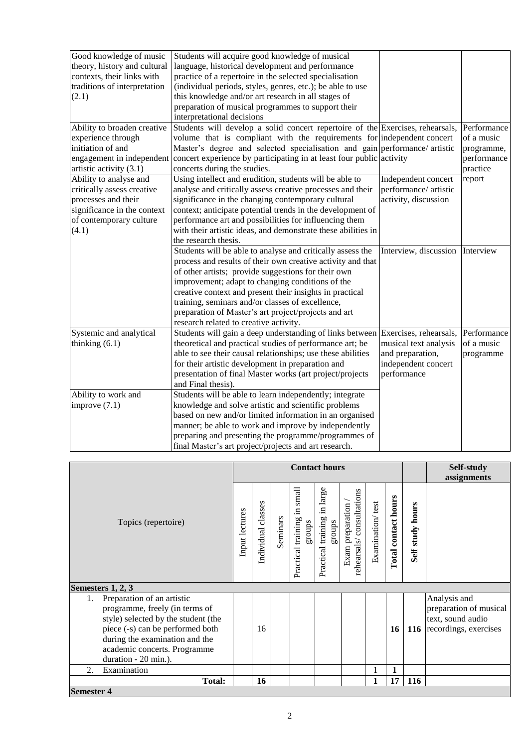| Good knowledge of music<br>theory, history and cultural<br>contexts, their links with<br>traditions of interpretation<br>(2.1) | Students will acquire good knowledge of musical<br>language, historical development and performance<br>practice of a repertoire in the selected specialisation<br>(individual periods, styles, genres, etc.); be able to use<br>this knowledge and/or art research in all stages of<br>preparation of musical programmes to support their<br>interpretational decisions |                                 |                         |
|--------------------------------------------------------------------------------------------------------------------------------|-------------------------------------------------------------------------------------------------------------------------------------------------------------------------------------------------------------------------------------------------------------------------------------------------------------------------------------------------------------------------|---------------------------------|-------------------------|
| Ability to broaden creative                                                                                                    | Students will develop a solid concert repertoire of the Exercises, rehearsals,                                                                                                                                                                                                                                                                                          |                                 | Performance             |
| experience through                                                                                                             | volume that is compliant with the requirements for independent concert                                                                                                                                                                                                                                                                                                  |                                 | of a music              |
| initiation of and                                                                                                              | Master's degree and selected specialisation and gain performance/artistic                                                                                                                                                                                                                                                                                               |                                 | programme,              |
| artistic activity (3.1)                                                                                                        | engagement in independent concert experience by participating in at least four public activity<br>concerts during the studies.                                                                                                                                                                                                                                          |                                 | performance<br>practice |
| Ability to analyse and                                                                                                         | Using intellect and erudition, students will be able to                                                                                                                                                                                                                                                                                                                 | Independent concert             | report                  |
| critically assess creative                                                                                                     | analyse and critically assess creative processes and their                                                                                                                                                                                                                                                                                                              | performance/ artistic           |                         |
| processes and their                                                                                                            | significance in the changing contemporary cultural                                                                                                                                                                                                                                                                                                                      | activity, discussion            |                         |
| significance in the context                                                                                                    | context; anticipate potential trends in the development of                                                                                                                                                                                                                                                                                                              |                                 |                         |
| of contemporary culture                                                                                                        | performance art and possibilities for influencing them                                                                                                                                                                                                                                                                                                                  |                                 |                         |
| (4.1)                                                                                                                          | with their artistic ideas, and demonstrate these abilities in                                                                                                                                                                                                                                                                                                           |                                 |                         |
|                                                                                                                                | the research thesis.                                                                                                                                                                                                                                                                                                                                                    |                                 |                         |
|                                                                                                                                | Students will be able to analyse and critically assess the                                                                                                                                                                                                                                                                                                              | Interview, discussion Interview |                         |
|                                                                                                                                | process and results of their own creative activity and that                                                                                                                                                                                                                                                                                                             |                                 |                         |
|                                                                                                                                | of other artists; provide suggestions for their own                                                                                                                                                                                                                                                                                                                     |                                 |                         |
|                                                                                                                                | improvement; adapt to changing conditions of the                                                                                                                                                                                                                                                                                                                        |                                 |                         |
|                                                                                                                                | creative context and present their insights in practical                                                                                                                                                                                                                                                                                                                |                                 |                         |
|                                                                                                                                | training, seminars and/or classes of excellence,                                                                                                                                                                                                                                                                                                                        |                                 |                         |
|                                                                                                                                | preparation of Master's art project/projects and art                                                                                                                                                                                                                                                                                                                    |                                 |                         |
|                                                                                                                                | research related to creative activity.                                                                                                                                                                                                                                                                                                                                  |                                 |                         |
| Systemic and analytical                                                                                                        | Students will gain a deep understanding of links between                                                                                                                                                                                                                                                                                                                | Exercises, rehearsals,          | Performance             |
| thinking $(6.1)$                                                                                                               | theoretical and practical studies of performance art; be                                                                                                                                                                                                                                                                                                                | musical text analysis           | of a music              |
|                                                                                                                                | able to see their causal relationships; use these abilities                                                                                                                                                                                                                                                                                                             | and preparation,                | programme               |
|                                                                                                                                | for their artistic development in preparation and                                                                                                                                                                                                                                                                                                                       | independent concert             |                         |
|                                                                                                                                | presentation of final Master works (art project/projects                                                                                                                                                                                                                                                                                                                | performance                     |                         |
|                                                                                                                                | and Final thesis).                                                                                                                                                                                                                                                                                                                                                      |                                 |                         |
| Ability to work and                                                                                                            | Students will be able to learn independently; integrate                                                                                                                                                                                                                                                                                                                 |                                 |                         |
| improve $(7.1)$                                                                                                                | knowledge and solve artistic and scientific problems                                                                                                                                                                                                                                                                                                                    |                                 |                         |
|                                                                                                                                | based on new and/or limited information in an organised                                                                                                                                                                                                                                                                                                                 |                                 |                         |
|                                                                                                                                | manner; be able to work and improve by independently                                                                                                                                                                                                                                                                                                                    |                                 |                         |
|                                                                                                                                | preparing and presenting the programme/programmes of                                                                                                                                                                                                                                                                                                                    |                                 |                         |
|                                                                                                                                | final Master's art project/projects and art research.                                                                                                                                                                                                                                                                                                                   |                                 |                         |

|                                                                                                                                                                                                                                         | <b>Contact hours</b> |                    |          |                                             |                                          |                                              |                  | Self-study          |                         |                                                                                      |
|-----------------------------------------------------------------------------------------------------------------------------------------------------------------------------------------------------------------------------------------|----------------------|--------------------|----------|---------------------------------------------|------------------------------------------|----------------------------------------------|------------------|---------------------|-------------------------|--------------------------------------------------------------------------------------|
| Topics (repertoire)                                                                                                                                                                                                                     |                      |                    |          |                                             |                                          |                                              |                  |                     | assignments             |                                                                                      |
|                                                                                                                                                                                                                                         |                      | Individual classes | Seminars | small<br>Ξ.<br>Practical training<br>groups | in large<br>Practical training<br>groups | rehearsals/consultations<br>Exam preparation | Examination/test | Total contact hours | <b>Self study hours</b> |                                                                                      |
| Semesters 1, 2, 3                                                                                                                                                                                                                       |                      |                    |          |                                             |                                          |                                              |                  |                     |                         |                                                                                      |
| Preparation of an artistic<br>1.<br>programme, freely (in terms of<br>style) selected by the student (the<br>piece (-s) can be performed both<br>during the examination and the<br>academic concerts. Programme<br>duration - 20 min.). |                      | 16                 |          |                                             |                                          |                                              |                  | 16                  | 116                     | Analysis and<br>preparation of musical<br>text, sound audio<br>recordings, exercises |
| Examination<br>2.                                                                                                                                                                                                                       |                      |                    |          |                                             |                                          |                                              |                  | 1                   |                         |                                                                                      |
| <b>Total:</b>                                                                                                                                                                                                                           |                      | 16                 |          |                                             |                                          |                                              | 1                | 17                  | 116                     |                                                                                      |
| <b>Semester 4</b>                                                                                                                                                                                                                       |                      |                    |          |                                             |                                          |                                              |                  |                     |                         |                                                                                      |